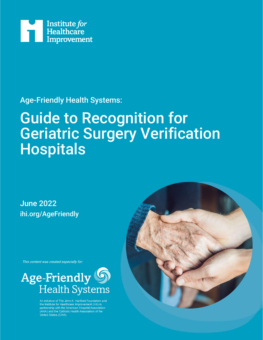

### Age-Friendly Health Systems:

# Guide to Recognition for Geriatric Surgery Verification **Hospitals**

June 2022 ihi.org/AgeFriendly

This content was created especially for:



An initiative of The John A. Hartford Foundation and An initiative or ine John A. Hartrord roundation and<br>the Institute for Healthcare Improvement (IHI) in<br>partnership with the American Hospital Association<br>(AHA) and the Catholic Health Association of the United States (CHA)

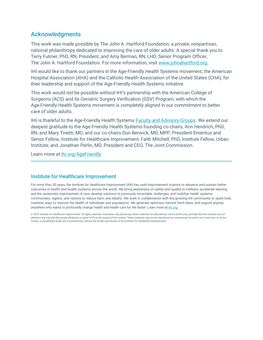#### Acknowledgments

This work was made possible by The John A. Hartford Foundation, a private, nonpartisan, national philanthropy dedicated to improving the care of older adults. A special thank you to Terry Fulmer, PhD, RN, President, and Amy Berman, RN, LHD, Senior Program Officer, The John A. Hartford Foundation. For more information, visit [www.johnahartford.org.](https://www.johnahartford.org/)

IHI would like to thank our partners in the Age-Friendly Health Systems movement, the American Hospital Association (AHA) and the Catholic Health Association of the United States (CHA), for their leadership and support of the Age-Friendly Health Systems initiative.

This work would not be possible without IHI's partnership with the American College of Surgeons (ACS) and its Geriatric Surgery Verification (GSV) Program, with which the Age-Friendly Health Systems movement is completely aligned in our commitment to better care of older adults.

IHI is thankful to the Age-Friendly Health Systems [Faculty and Advisory Groups.](http://www.ihi.org/Engage/Initiatives/Age-Friendly-Health-Systems/Pages/faculty.aspx) We extend our deepest gratitude to the Age-Friendly Health Systems founding co-chairs, Ann Hendrich, PhD, RN, and Mary Tinetti, MD, and our co-chairs Don Berwick, MD, MPP, President Emeritus and Senior Fellow, Institute for Healthcare Improvement; Faith Mitchell, PhD, Institute Fellow, Urban Institute; and Jonathan Perlin, MD, President and CEO, The Joint Commission.

Learn more at *ihi.org/AgeFriendly*.

#### Institute for Healthcare Improvement

For more than 30 years, the Institute for Healthcare Improvement (IHI) has used improvement science to advance and sustain better outcomes in health and health systems across the world. We bring awareness of safety and quality to millions, accelerate learning and the systematic improvement of care, develop solutions to previously intractable challenges, and mobilize health systems, communities, regions, and nations to reduce harm and deaths. We work in collaboration with the growing IHI community to spark bold, inventive ways to improve the health of individuals and populations. We generate optimism, harvest fresh ideas, and support anyone, anywhere who wants to profoundly change health and health care for the better. Learn more at *ihi.org*.

© 2022 Institute for Healthcare Improvement. All rights reserved. Individuals may photocopy these materials for educational, not-for-profit uses, provided that the contents are not altered in any way and that proper attribution is given to IHI as the source of the content. These materials may not be reproduced for commercial, for-profit use in any form or by any means, or republished under any circumstances, without the written permission of the Institute for Healthcare Improvement.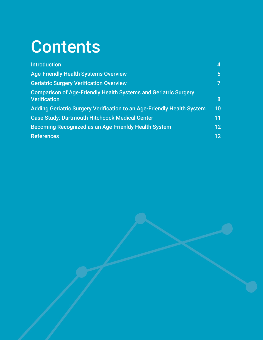# **Contents**

| <b>Introduction</b>                                                                           | 4              |
|-----------------------------------------------------------------------------------------------|----------------|
| <b>Age-Friendly Health Systems Overview</b>                                                   | $\overline{5}$ |
| <b>Geriatric Surgery Verification Overview</b>                                                | $\overline{7}$ |
| <b>Comparison of Age-Friendly Health Systems and Geriatric Surgery</b><br><b>Verification</b> | 8              |
| Adding Geriatric Surgery Verification to an Age-Friendly Health System                        | 10             |
| <b>Case Study: Dartmouth Hitchcock Medical Center</b>                                         | 11             |
| Becoming Recognized as an Age-Frienldy Health System                                          | 12             |
| <b>References</b>                                                                             | 12             |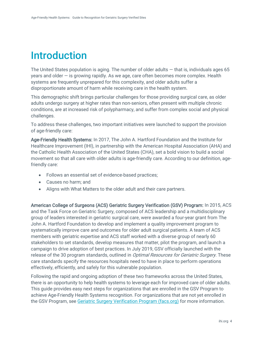# <span id="page-3-0"></span>Introduction

The United States population is aging. The number of older adults  $-$  that is, individuals ages 65 years and older — is growing rapidly. As we age, care often becomes more complex. Health systems are frequently unprepared for this complexity, and older adults suffer a disproportionate amount of harm while receiving care in the health system.

This demographic shift brings particular challenges for those providing surgical care, as older adults undergo surgery at higher rates than non-seniors, often present with multiple chronic conditions, are at increased risk of polypharmacy, and suffer from complex social and physical challenges.

To address these challenges, two important initiatives were launched to support the provision of age-friendly care:

Age-Friendly Health Systems: In 2017, The John A. Hartford Foundation and the Institute for Healthcare Improvement (IHI), in partnership with the American Hospital Association (AHA) and the Catholic Health Association of the United States (CHA), set a bold vision to build a social movement so that all care with older adults is age-friendly care. According to our definition, agefriendly care:

- Follows an essential set of evidence-based practices;
- Causes no harm; and
- Aligns with What Matters to the older adult and their care partners.

American College of Surgeons (ACS) Geriatric Surgery Verification (GSV) Program: In 2015, ACS and the Task Force on Geriatric Surgery, composed of ACS leadership and a multidisciplinary group of leaders interested in geriatric surgical care, were awarded a four-year grant from The John A. Hartford Foundation to develop and implement a quality improvement program to systematically improve care and outcomes for older adult surgical patients. A team of ACS members with geriatric expertise and ACS staff worked with a diverse group of nearly 60 stakeholders to set standards, develop measures that matter, pilot the program, and launch a campaign to drive adoption of best practices. In July 2019, GSV officially launched with the release of the 30 program standards, outlined in *Optimal Resources for Geriatric Surgery*. These care standards specify the resources hospitals need to have in place to perform operations effectively, efficiently, and safely for this vulnerable population.

Following the rapid and ongoing adoption of these two frameworks across the United States, there is an opportunity to help health systems to leverage each for improved care of older adults. This guide provides easy next steps for organizations that are enrolled in the GSV Program to achieve Age-Friendly Health Systems recognition. For organizations that are not yet enrolled in the GSV Program, see [Geriatric Surgery Verification Program \(facs.org\)](https://www.facs.org/quality-programs/accreditation-and-verification/geriatric-surgery-verification/) for more information.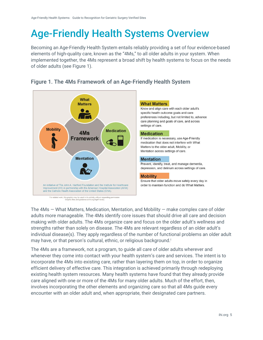# Age-Friendly Health Systems Overview

Becoming an Age-Friendly Health System entails reliably providing a set of four evidence-based elements of high-quality care, known as the "4Ms," to all older adults in your system. When implemented together, the 4Ms represent a broad shift by health systems to focus on the needs of older adults (see Figure 1).



#### Figure 1. The 4Ms Framework of an Age-Friendly Health System

**What Matters** 

Know and align care with each older adult's specific health outcome goals and care preferences including, but not limited to, advance care planning and goals of care, and across settings of care.

#### **Medication**

If medication is necessary, use Age-Friendly medication that does not interfere with What Matters to the older adult, Mobility, or Mentation across settings of care.

#### **Mentation**

Prevent, identify, treat, and manage dementia, depression, and delirium across settings of care.

#### **Mobility**

Ensure that older adults move safely every day in order to maintain function and do What Matters.

The 4Ms — What Matters, Medication, Mentation, and Mobility — make complex care of older adults more manageable. The 4Ms identify core issues that should drive all care and decision making with older adults. The 4Ms organize care and focus on the older adult's wellness and strengths rather than solely on disease. The 4Ms are relevant regardless of an older adult's individual disease(s). They apply regardless of the number of functional problems an older adult may have, or that person's cultural, ethnic, or religious background.<sup>i</sup>

The 4Ms are a framework, not a program, to guide all care of older adults wherever and whenever they come into contact with your health system's care and services. The intent is to incorporate the 4Ms into existing care, rather than layering them on top, in order to organize efficient delivery of effective care. This integration is achieved primarily through redeploying existing health system resources. Many health systems have found that they already provide care aligned with one or more of the 4Ms for many older adults. Much of the effort, then, involves incorporating the other elements and organizing care so that all 4Ms guide every encounter with an older adult and, when appropriate, their designated care partners.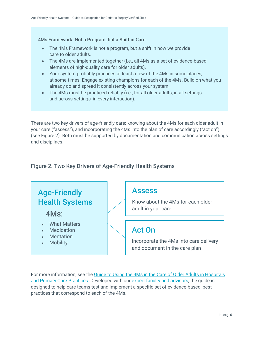4Ms Framework: Not a Program, but a Shift in Care

- The 4Ms Framework is not a program, but a shift in how we provide care to older adults.
- The 4Ms are implemented together (i.e., all 4Ms as a set of evidence-based elements of high-quality care for older adults).
- Your system probably practices at least a few of the 4Ms in some places, at some times. Engage existing champions for each of the 4Ms. Build on what you already do and spread it consistently across your system.
- The 4Ms must be practiced reliably (i.e., for all older adults, in all settings and across settings, in every interaction).

There are two key drivers of age-friendly care: knowing about the 4Ms for each older adult in your care ("assess"), and incorporating the 4Ms into the plan of care accordingly ("act on") (see Figure 2). Both must be supported by documentation and communication across settings and disciplines.

#### Figure 2. Two Key Drivers of Age-Friendly Health Systems



For more information, see the [Guide to Using the 4Ms in the Care of Older Adults](https://241684.fs1.hubspotusercontent-na1.net/hubfs/241684/AgeFriendlyHealthSystems_GuidetoUsing4MsCare_FINAL_July2020.pdf) in Hospitals [and Primary Care Practices.](https://241684.fs1.hubspotusercontent-na1.net/hubfs/241684/AgeFriendlyHealthSystems_GuidetoUsing4MsCare_FINAL_July2020.pdf) Developed with ou[r expert faculty and advisors,](http://www.ihi.org/Engage/Initiatives/Age-Friendly-Health-Systems/Pages/faculty.aspx) the guide is designed to help care teams test and implement a specific set of evidence-based, best practices that correspond to each of the 4Ms.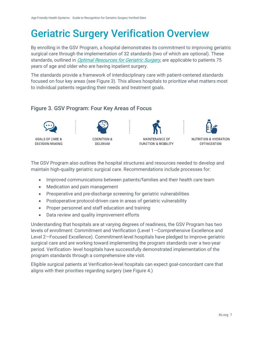# Geriatric Surgery Verification Overview

By enrolling in the GSV Program, a hospital demonstrates its commitment to improving geriatric surgical care through the implementation of 32 standards (two of which are optional). These standards, outlined in *[Optimal Resources for Geriatric Surgery](https://www.facs.org/quality-programs/accreditation-and-verification/geriatric-surgery-verification/)*, are applicable to patients 75 years of age and older who are having inpatient surgery.

The standards provide a framework of interdisciplinary care with patient-centered standards focused on four key areas (see Figure 3). This allows hospitals to prioritize what matters most to individual patients regarding their needs and treatment goals.

### Figure 3. GSV Program: Four Key Areas of Focus



**DECISION MAKING** 



COGNITION & **DELIRIUM** 



MAINTENANCE OF **FUNCTION & MOBILITY** 



**OPTIMIZATION** 

The GSV Program also outlines the hospital structures and resources needed to develop and maintain high-quality geriatric surgical care. Recommendations include processes for:

- Improved communications between patients/families and their health care team
- Medication and pain management
- Preoperative and pre-discharge screening for geriatric vulnerabilities
- Postoperative protocol-driven care in areas of geriatric vulnerability
- Proper personnel and staff education and training
- Data review and quality improvement efforts

Understanding that hospitals are at varying degrees of readiness, the GSV Program has two levels of enrollment: Commitment and Verification (Level 1—Comprehensive Excellence and Level 2—Focused Excellence). Commitment-level hospitals have pledged to improve geriatric surgical care and are working toward implementing the program standards over a two-year period. Verification- level hospitals have successfully demonstrated implementation of the program standards through a comprehensive site visit.

Eligible surgical patients at Verification-level hospitals can expect goal-concordant care that aligns with their priorities regarding surgery (see Figure 4.)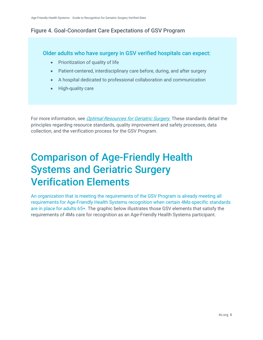#### Figure 4. Goal-Concordant Care Expectations of GSV Program

#### Older adults who have surgery in GSV verified hospitals can expect:

- Prioritization of quality of life
- Patient-centered, interdisciplinary care before, during, and after surgery
- A hospital dedicated to professional collaboration and communication
- High-quality care

For more information, see *[Optimal Resources for Geriatric Surgery](https://www.facs.org/quality-programs/accreditation-and-verification/geriatric-surgery-verification/)*. These standards detail the principles regarding resource standards, quality improvement and safety processes, data collection, and the verification process for the GSV Program.

## Comparison of Age-Friendly Health Systems and Geriatric Surgery Verification Elements

An organization that is meeting the requirements of the GSV Program is already meeting all requirements for Age-Friendly Health Systems recognition when certain 4Ms-specific standards are in place for adults 65+. The graphic below illustrates those GSV elements that satisfy the requirements of 4Ms care for recognition as an Age-Friendly Health Systems participant.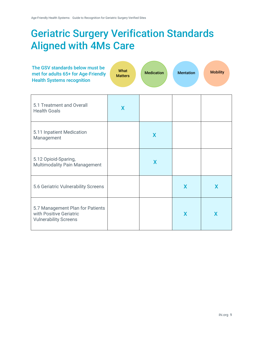# Geriatric Surgery Verification Standards Aligned with 4Ms Care

<span id="page-8-0"></span>

| The GSV standards below must be<br>met for adults 65+ for Age-Friendly<br><b>Health Systems recognition</b> | What<br><b>Matters</b> | <b>Medication</b> | <b>Mentation</b> | <b>Mobility</b> |
|-------------------------------------------------------------------------------------------------------------|------------------------|-------------------|------------------|-----------------|
| 5.1 Treatment and Overall<br><b>Health Goals</b>                                                            | X                      |                   |                  |                 |
| 5.11 Inpatient Medication<br>Management                                                                     |                        | X                 |                  |                 |
| 5.12 Opioid-Sparing,<br><b>Multimodality Pain Management</b>                                                |                        | X                 |                  |                 |
| 5.6 Geriatric Vulnerability Screens                                                                         |                        |                   | X                | X               |
| 5.7 Management Plan for Patients<br>with Positive Geriatric<br><b>Vulnerability Screens</b>                 |                        |                   | X                | X               |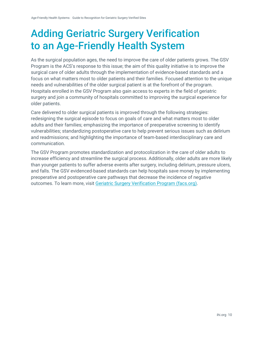# Adding Geriatric Surgery Verification to an Age-Friendly Health System

As the surgical population ages, the need to improve the care of older patients grows. The GSV Program is the ACS's response to this issue; the aim of this quality initiative is to improve the surgical care of older adults through the implementation of evidence-based standards and a focus on what matters most to older patients and their families. Focused attention to the unique needs and vulnerabilities of the older surgical patient is at the forefront of the program. Hospitals enrolled in the GSV Program also gain access to experts in the field of geriatric surgery and join a community of hospitals committed to improving the surgical experience for older patients.

Care delivered to older surgical patients is improved through the following strategies: redesigning the surgical episode to focus on goals of care and what matters most to older adults and their families; emphasizing the importance of preoperative screening to identify vulnerabilities; standardizing postoperative care to help prevent serious issues such as delirium and readmissions; and highlighting the importance of team-based interdisciplinary care and communication.

The GSV Program promotes standardization and protocolization in the care of older adults to increase efficiency and streamline the surgical process. Additionally, older adults are more likely than younger patients to suffer adverse events after surgery, including delirium, pressure ulcers, and falls. The GSV evidenced-based standards can help hospitals save money by implementing preoperative and postoperative care pathways that decrease the incidence of negative outcomes. To learn more, visit [Geriatric Surgery Verification Program \(facs.org\).](https://www.facs.org/quality-programs/geriatric-surgery)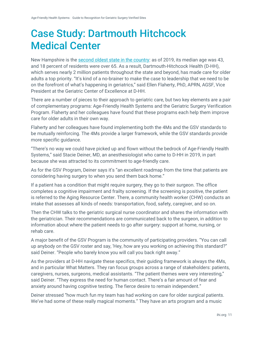# Case Study: Dartmouth Hitchcock Medical Center

New Hampshire is the [second oldest state in the country:](https://carsey.unh.edu/what-is-new-hampshire/sections/demography) as of 2019, its median age was 43, and 18 percent of residents were over 65. As a result, Dartmouth-Hitchcock Health (D-HH), which serves nearly 2 million patients throughout the state and beyond, has made care for older adults a top priority. "It's kind of a no-brainer to make the case to leadership that we need to be on the forefront of what's happening in geriatrics," said Ellen Flaherty, PhD, APRN, AGSF, Vice President at the Geriatric Center of Excellence at D-HH.

There are a number of pieces to their approach to geriatric care, but two key elements are a pair of complementary programs: Age-Friendly Health Systems and the Geriatric Surgery Verification Program. Flaherty and her colleagues have found that these programs each help them improve care for older adults in their own way.

Flaherty and her colleagues have found implementing both the 4Ms and the GSV standards to be mutually reinforcing. The 4Ms provide a larger framework, while the GSV standards provide more specific guidance.

"There's no way we could have picked up and flown without the bedrock of Age-Friendly Health Systems," said Stacie Deiner, MD, an anesthesiologist who came to D-HH in 2019, in part because she was attracted to its commitment to age-friendly care.

As for the GSV Program, Deiner says it's "an excellent roadmap from the time that patients are considering having surgery to when you send them back home."

If a patient has a condition that might require surgery, they go to their surgeon. The office completes a cognitive impairment and frailty screening. If the screening is positive, the patient is referred to the Aging Resource Center. There, a community health worker (CHW) conducts an intake that assesses all kinds of needs: transportation, food, safety, caregiver, and so on.

Then the CHW talks to the geriatric surgical nurse coordinator and shares the information with the geriatrician. Their recommendations are communicated back to the surgeon, in addition to information about where the patient needs to go after surgery: support at home, nursing, or rehab care.

A major benefit of the GSV Program is the community of participating providers. "You can call up anybody on the GSV roster and say, 'Hey, how are you working on achieving this standard?" said Deiner. "People who barely know you will call you back right away."

As the providers at D-HH navigate these specifics, their guiding framework is always the 4Ms, and in particular What Matters. They ran focus groups across a range of stakeholders: patients, caregivers, nurses, surgeons, medical assistants. "The patient themes were very interesting," said Deiner. "They express the need for human contact. There's a fair amount of fear and anxiety around having cognitive testing. The fierce desire to remain independent."

Deiner stressed "how much fun my team has had working on care for older surgical patients. We've had some of these really magical moments." They have an arts program and a music